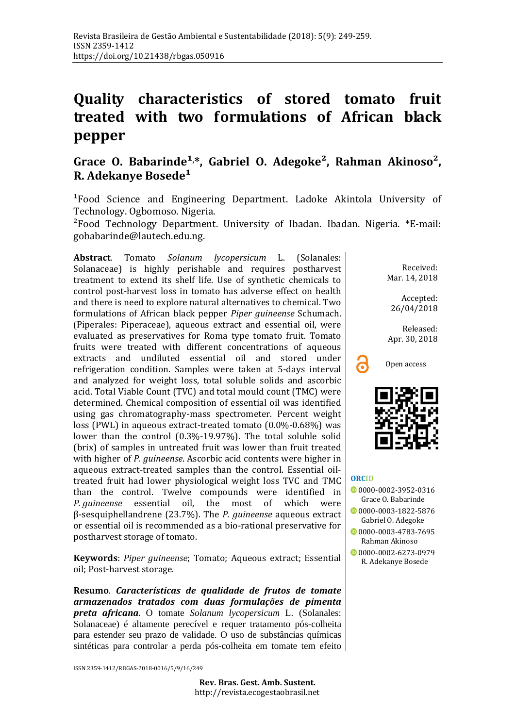## **Quality characteristics of stored tomato fruit treated with two formulations of African black pepper**

## Grace O. Babarinde<sup>1,\*</sup>, Gabriel O. Adegoke<sup>2</sup>, Rahman Akinoso<sup>2</sup>, **R.** Adekanye Bosede<sup>1</sup>

<sup>1</sup>Food Science and Engineering Department. Ladoke Akintola University of Technology. Ogbomoso. Nigeria.

²Food Technology Department. University of Ibadan. Ibadan. Nigeria. \*E-mail: [gobabarinde@lautech.edu.ng.](mailto:gobabarinde@lautech.edu.ng)

**Abstract**. Tomato *Solanum lycopersicum* L. (Solanales: Solanaceae) is highly perishable and requires postharvest treatment to extend its shelf life. Use of synthetic chemicals to control post-harvest loss in tomato has adverse effect on health and there is need to explore natural alternatives to chemical. Two formulations of African black pepper *Piper guineense* Schumach. (Piperales: Piperaceae), aqueous extract and essential oil, were evaluated as preservatives for Roma type tomato fruit. Tomato fruits were treated with different concentrations of aqueous extracts and undiluted essential oil and stored under refrigeration condition. Samples were taken at 5-days interval and analyzed for weight loss, total soluble solids and ascorbic acid. Total Viable Count (TVC) and total mould count (TMC) were determined. Chemical composition of essential oil was identified using gas chromatography-mass spectrometer. Percent weight loss (PWL) in aqueous extract*-*treated tomato (0.0%-0.68%) was lower than the control (0.3%-19.97%). The total soluble solid (brix) of samples in untreated fruit was lower than fruit treated with higher of *P. guineense*. Ascorbic acid contents were higher in aqueous extract-treated samples than the control. Essential oiltreated fruit had lower physiological weight loss TVC and TMC than the control. Twelve compounds were identified in <br>P quineense essential oil the most of which were *P. guineense* essential oil, the most of which β-sesquiphellandrene (23.7%). The *P. guineense* aqueous extract or essential oil is recommended as a bio-rational preservative for postharvest storage of tomato.

**Keywords**: *Piper guineense*; Tomato; Aqueous extract; Essential oil; Post-harvest storage.

**Resumo**. *Características de qualidade de frutos de tomate armazenados tratados com duas formulações de pimenta preta africana*. O tomate *Solanum lycopersicum* L. (Solanales: Solanaceae) é altamente perecível e requer tratamento pós-colheita para estender seu prazo de validade. O uso de substâncias químicas sintéticas para controlar a perda pós-colheita em tomate tem efeito

ISSN 2359-1412/RBGAS-2018-0016/5/9/16/249

Received: Mar. 14, 2018

Accepted: 26/04/2018

Released: Apr. 30, 2018





#### **[ORCID](http://www.orcid.org/)**

- 0[0000-0002-3952-0316](https://orcid.org/0000-0002-3952-0316) Grace O. Babarinde 0[0000-0003-1822-5876](https://orcid.org/0000-0003-1822-5876) Gabriel O. Adegoke 0000000003-4783-7695
- Rahman Akinoso [0000-0002-6273-0979](https://orcid.org/0000-0002-6273-0979)
- R. Adekanye Bosede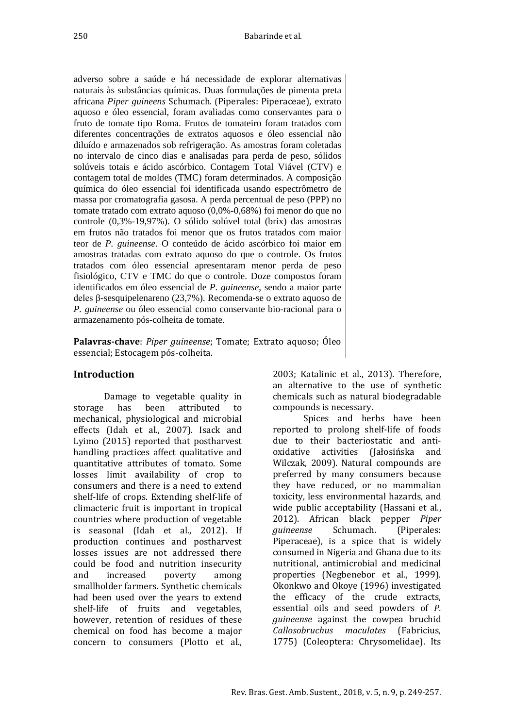Rev. Bras. Gest. Amb. Sustent., 2018, v. 5, n. 9, p. 249-257.

adverso sobre a saúde e há necessidade de explorar alternativas naturais às substâncias químicas. Duas formulações de pimenta preta africana *Piper guineens* Schumach. (Piperales: Piperaceae), extrato aquoso e óleo essencial, foram avaliadas como conservantes para o fruto de tomate tipo Roma. Frutos de tomateiro foram tratados com diferentes concentrações de extratos aquosos e óleo essencial não diluído e armazenados sob refrigeração. As amostras foram coletadas no intervalo de cinco dias e analisadas para perda de peso, sólidos solúveis totais e ácido ascórbico. Contagem Total Viável (CTV) e contagem total de moldes (TMC) foram determinados. A composição química do óleo essencial foi identificada usando espectrômetro de massa por cromatografia gasosa. A perda percentual de peso (PPP) no tomate tratado com extrato aquoso (0,0%-0,68%) foi menor do que no controle (0,3%-19,97%). O sólido solúvel total (brix) das amostras em frutos não tratados foi menor que os frutos tratados com maior teor de *P. guineense*. O conteúdo de ácido ascórbico foi maior em amostras tratadas com extrato aquoso do que o controle. Os frutos tratados com óleo essencial apresentaram menor perda de peso fisiológico, CTV e TMC do que o controle. Doze compostos foram identificados em óleo essencial de *P. guineense*, sendo a maior parte deles β-sesquipelenareno (23,7%). Recomenda-se o extrato aquoso de *P. guineense* ou óleo essencial como conservante bio-racional para o armazenamento pós-colheita de tomate.

**Palavras-chave**: *Piper guineense*; Tomate; Extrato aquoso; Óleo essencial; Estocagem pós-colheita.

## **Introduction**

Damage to vegetable quality in<br>has been attributed to storage has been attributed to mechanical, physiological and microbial effects (Idah et al., 2007). Isack and Lyimo (2015) reported that postharvest handling practices affect qualitative and quantitative attributes of tomato. Some losses limit availability of crop to consumers and there is a need to extend shelf-life of crops. Extending shelf-life of climacteric fruit is important in tropical countries where production of vegetable is seasonal (Idah et al., 2012). If production continues and postharvest losses issues are not addressed there could be food and nutrition insecurity<br>and increased poverty among increased smallholder farmers. Synthetic chemicals had been used over the years to extend shelf-life of fruits and vegetables, however, retention of residues of these chemical on food has become a major concern to consumers (Plotto et al.,

2003; Katalinic et al., 2013). Therefore, an alternative to the use of synthetic chemicals such as natural biodegradable compounds is necessary.

Spices and herbs have been reported to prolong shelf-life of foods due to their bacteriostatic and anti-<br>oxidative activities (Jałosińska and activities (Jałosińska Wilczak, 2009). Natural compounds are preferred by many consumers because they have reduced, or no mammalian toxicity, less environmental hazards, and wide public acceptability (Hassani et al., 2012). African black pepper *Piper guineense* Schumach. (Piperales: Piperaceae), is a spice that is widely consumed in Nigeria and Ghana due to its nutritional, antimicrobial and medicinal properties (Negbenebor et al., 1999). Okonkwo and Okoye (1996) investigated the efficacy of the crude extracts, essential oils and seed powders of *P. guineense* against the cowpea bruchid *Callosobruchus maculates* (Fabricius, 1775) (Coleoptera: Chrysomelidae). Its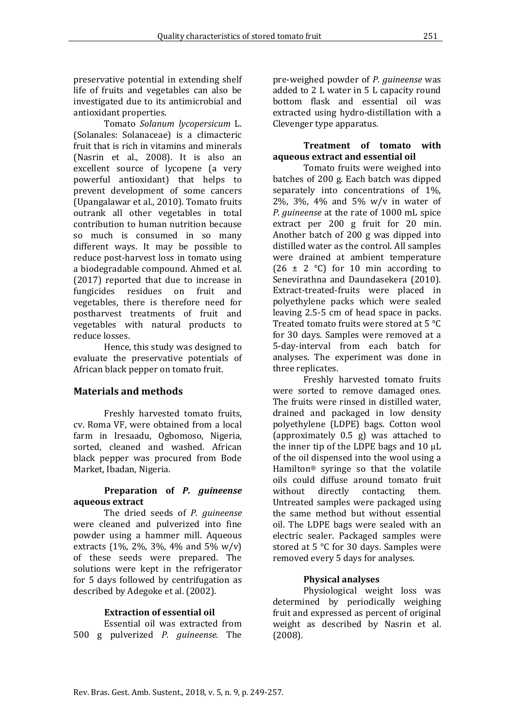preservative potential in extending shelf life of fruits and vegetables can also be investigated due to its antimicrobial and antioxidant properties.

Tomato *Solanum lycopersicum* L. (Solanales: Solanaceae) is a climacteric fruit that is rich in vitamins and minerals (Nasrin et al., 2008). It is also an excellent source of lycopene (a very powerful antioxidant) that helps to prevent development of some cancers (Upangalawar et al., 2010). Tomato fruits outrank all other vegetables in total contribution to human nutrition because so much is consumed in so many different ways. It may be possible to reduce post-harvest loss in tomato using a biodegradable compound. Ahmed et al. (2017) reported that due to increase in fungicides residues on fruit and vegetables, there is therefore need for postharvest treatments of fruit and vegetables with natural products to reduce losses.

Hence, this study was designed to evaluate the preservative potentials of African black pepper on tomato fruit.

### **Materials and methods**

Freshly harvested tomato fruits, cv. Roma VF, were obtained from a local farm in Iresaadu, Ogbomoso, Nigeria, sorted, cleaned and washed. African black pepper was procured from Bode Market, Ibadan, Nigeria.

#### **Preparation of** *P. guineense* **aqueous extract**

The dried seeds of *P. guineense* were cleaned and pulverized into fine powder using a hammer mill. Aqueous extracts (1%, 2%, 3%, 4% and 5% w/v) of these seeds were prepared. The solutions were kept in the refrigerator for 5 days followed by centrifugation as described by Adegoke et al. (2002).

### **Extraction of essential oil**

Essential oil was extracted from 500 g pulverized *P. guineense*. The

pre-weighed powder of *P. guineense* was added to 2 L water in 5 L capacity round bottom flask and essential oil was extracted using hydro-distillation with a Clevenger type apparatus.

#### **Treatment of tomato with aqueous extract and essential oil**

Tomato fruits were weighed into batches of 200 g. Each batch was dipped separately into concentrations of 1%, 2%, 3%, 4% and 5% w/v in water of *P*. *guineense* at the rate of 1000 mL spice extract per 200 g fruit for 20 min. Another batch of 200 g was dipped into distilled water as the control. All samples were drained at ambient temperature  $(26 \pm 2 \degree C)$  for 10 min according to Senevirathna and Daundasekera (2010). Extract-treated-fruits were placed in polyethylene packs which were sealed leaving 2.5-5 cm of head space in packs. Treated tomato fruits were stored at 5 °C for 30 days. Samples were removed at a 5-day-interval from each batch for analyses. The experiment was done in three replicates.

Freshly harvested tomato fruits were sorted to remove damaged ones. The fruits were rinsed in distilled water, drained and packaged in low density polyethylene (LDPE) bags. Cotton wool (approximately 0.5 g) was attached to the inner tip of the LDPE bags and  $10 \mu L$ of the oil dispensed into the wool using a Hamilton® syringe so that the volatile oils could diffuse around tomato fruit<br>without directly contacting them. contacting Untreated samples were packaged using the same method but without essential oil. The LDPE bags were sealed with an electric sealer. Packaged samples were stored at 5 °C for 30 days. Samples were removed every 5 days for analyses.

### **Physical analyses**

Physiological weight loss was determined by periodically weighing fruit and expressed as percent of original weight as described by Nasrin et al. (2008).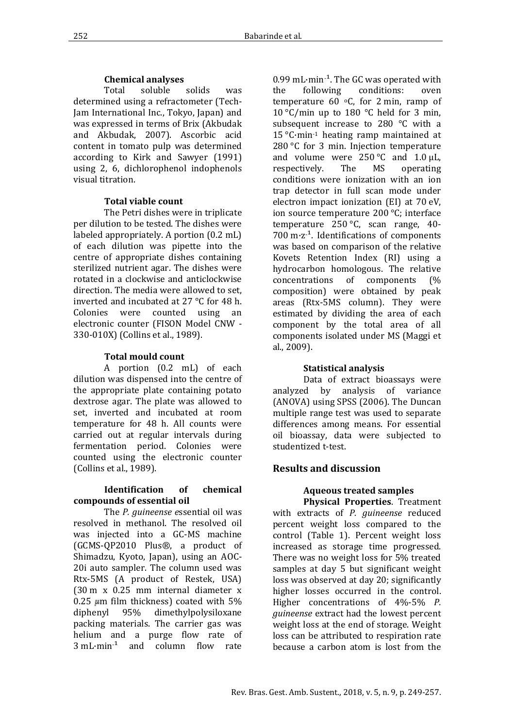#### **Chemical analyses**

Total soluble solids was determined using a refractometer (Tech-Jam International Inc., Tokyo, Japan) and was expressed in terms of Brix (Akbudak and Akbudak, 2007). Ascorbic acid content in tomato pulp was determined according to Kirk and Sawyer (1991) using 2, 6, dichlorophenol indophenols visual titration.

#### **Total viable count**

The Petri dishes were in triplicate per dilution to be tested. The dishes were labeled appropriately. A portion (0.2 mL) of each dilution was pipette into the centre of appropriate dishes containing sterilized nutrient agar. The dishes were rotated in a clockwise and anticlockwise direction. The media were allowed to set, inverted and incubated at 27 °C for 48 h.<br>Colonies were counted using an were counted using an electronic counter (FISON Model CNW - 330-010X) (Collins et al., 1989).

#### **Total mould count**

A portion (0.2 mL) of each dilution was dispensed into the centre of the appropriate plate containing potato dextrose agar. The plate was allowed to set, inverted and incubated at room temperature for 48 h. All counts were carried out at regular intervals during fermentation period. Colonies were counted using the electronic counter (Collins et al., 1989).

#### **Identification of chemical compounds of essential oil**

The *P. guineense e*ssential oil was resolved in methanol. The resolved oil was injected into a GC-MS machine (GCMS-QP2010 Plus®, a product of Shimadzu, Kyoto, Japan), using an AOC-20i auto sampler. The column used was Rtx-5MS (A product of Restek, USA) (30 m x 0.25 mm internal diameter x 0.25  $\mu$ m film thickness) coated with 5%<br>diphenvl 95% dimethylpolysiloxane dimethylpolysiloxane packing materials. The carrier gas was helium and a purge flow rate of 3 mL·min- ¹ and column flow rate  $0.99$  mL·min<sup>-1</sup>. The GC was operated with the following conditions: oven temperature  $60^{\circ}$ C, for 2 min, ramp of 10 °C/min up to 180 °C held for 3 min, subsequent increase to 280 °C with a 15 °C·min-1 heating ramp maintained at 280 °C for 3 min. Injection temperature and volume were  $250^{\circ}$ C and  $1.0 \mu L$ , respectively. The MS operating respectively. conditions were ionization with an ion trap detector in full scan mode under electron impact ionization (EI) at 70 eV, ion source temperature 200 °C; interface temperature 250 °C, scan range, 40- 700 m·z- ¹. Identifications of components was based on comparison of the relative Kovets Retention Index (RI) using a hydrocarbon homologous. The relative concentrations of components (% composition) were obtained by peak areas (Rtx-5MS column). They were estimated by dividing the area of each component by the total area of all components isolated under MS (Maggi et al., 2009).

#### **Statistical analysis**

Data of extract bioassays were analyzed by analysis of variance (ANOVA) using SPSS (2006). The Duncan multiple range test was used to separate differences among means. For essential oil bioassay, data were subjected to studentized t-test.

## **Results and discussion**

# **Aqueous treated samples**

**Physical Properties**. Treatment with extracts of *P. guineense* reduced percent weight loss compared to the control (Table 1). Percent weight loss increased as storage time progressed. There was no weight loss for 5% treated samples at day 5 but significant weight loss was observed at day 20; significantly higher losses occurred in the control. Higher concentrations of 4%-5% *P. guineense* extract had the lowest percent weight loss at the end of storage. Weight loss can be attributed to respiration rate because a carbon atom is lost from the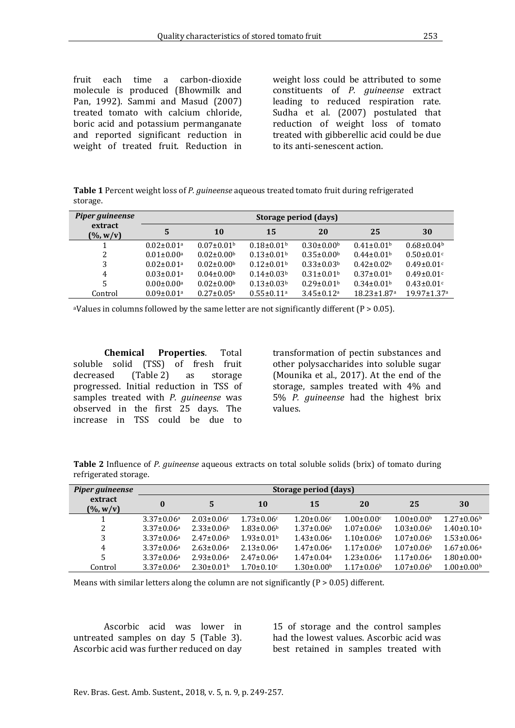fruit each time a carbon-dioxide molecule is produced (Bhowmilk and Pan, 1992). Sammi and Masud (2007) treated tomato with calcium chloride, boric acid and potassium permanganate and reported significant reduction in weight of treated fruit. Reduction in weight loss could be attributed to some constituents of *P. guineense* extract leading to reduced respiration rate. Sudha et al. (2007) postulated that reduction of weight loss of tomato treated with gibberellic acid could be due to its anti-senescent action.

**Table 1** Percent weight loss of *P. guineense* aqueous treated tomato fruit during refrigerated storage.

| Piper guineense         | Storage period (days)        |                              |                              |                              |                               |                               |  |  |
|-------------------------|------------------------------|------------------------------|------------------------------|------------------------------|-------------------------------|-------------------------------|--|--|
| extract<br>$(\% , w/v)$ | 5                            | 10                           | 15                           | 20                           | 25                            | 30                            |  |  |
|                         | $0.02 \pm 0.01$ <sup>a</sup> | $0.07 \pm 0.01$ <sup>b</sup> | $0.18 \pm 0.01$ <sup>b</sup> | $0.30 \pm 0.00$              | $0.41 \pm 0.01$ <sup>b</sup>  | $0.68 \pm 0.04$               |  |  |
| 2                       | $0.01 \pm 0.00$ <sup>a</sup> | $0.02 \pm 0.00$ <sup>b</sup> | $0.13 \pm 0.01$ <sup>b</sup> | $0.35 \pm 0.00$ <sup>b</sup> | $0.44\pm0.01b$                | $0.50 \pm 0.01$ c             |  |  |
| 3                       | $0.02 \pm 0.01$ <sup>a</sup> | $0.02 \pm 0.00$ <sup>b</sup> | $0.12 \pm 0.01$ <sup>b</sup> | $0.33 \pm 0.03^b$            | $0.42 \pm 0.02^b$             | $0.49 \pm 0.01$ c             |  |  |
| 4                       | $0.03 \pm 0.01$ <sup>a</sup> | $0.04 \pm 0.00$              | $0.14\pm0.03b$               | $0.31 \pm 0.01$ <sup>b</sup> | $0.37 \pm 0.01$ <sup>b</sup>  | $0.49 \pm 0.01$ c             |  |  |
| 5                       | $0.00 \pm 0.00$ <sup>a</sup> | $0.02 \pm 0.00$ <sup>b</sup> | $0.13 \pm 0.03^b$            | $0.29 \pm 0.01$ <sup>b</sup> | $0.34\pm0.01b$                | $0.43 \pm 0.01$ <sup>c</sup>  |  |  |
| Control                 | $0.09 \pm 0.01$ <sup>a</sup> | $0.27 \pm 0.05$ <sup>a</sup> | $0.55 \pm 0.11$ <sup>a</sup> | $3.45 \pm 0.12$ <sup>a</sup> | $18.23 \pm 1.87$ <sup>a</sup> | $19.97 \pm 1.37$ <sup>a</sup> |  |  |

<sup>a</sup>Values in columns followed by the same letter are not significantly different ( $P > 0.05$ ).

**Chemical Properties**. Total soluble solid (TSS) of fresh fruit<br>decreased (Table 2) as storage  $(Table 2)$ progressed. Initial reduction in TSS of samples treated with *P. guineense* was observed in the first 25 days. The increase in TSS could be due to

transformation of pectin substances and other polysaccharides into soluble sugar (Mounika et al., 2017). At the end of the storage, samples treated with 4% and 5% *P. guineense* had the highest brix values.

**Table 2** Influence of *P. guineense* aqueous extracts on total soluble solids (brix) of tomato during refrigerated storage.

| Piper guineense         | Storage period (days) |                   |                   |                              |                              |                              |                              |  |
|-------------------------|-----------------------|-------------------|-------------------|------------------------------|------------------------------|------------------------------|------------------------------|--|
| extract<br>$(\% , w/v)$ | $\bf{0}$              | 5                 | 10                | 15                           | 20                           | 25                           | 30                           |  |
|                         | $3.37 \pm 0.06^a$     | $2.03 \pm 0.06c$  | $1.73 \pm 0.06c$  | $1.20 \pm 0.06c$             | $1.00 \pm 0.00$ c            | $1.00 \pm 0.00$ <sup>b</sup> | $1.27 \pm 0.06^{\rm b}$      |  |
| 2                       | $3.37 \pm 0.06^a$     | $2.33 \pm 0.06^b$ | $1.83 \pm 0.06^b$ | $1.37 \pm 0.06^{\rm b}$      | $1.07 \pm 0.06$ <sup>b</sup> | $1.03 \pm 0.06$ <sup>b</sup> | $1.40 \pm 0.10$ <sup>a</sup> |  |
| 3                       | $3.37 \pm 0.06^a$     | $2.47 \pm 0.06^b$ | $1.93 \pm 0.01b$  | $1.43 \pm 0.06^a$            | $1.10\pm0.06b$               | $1.07 \pm 0.06$ <sup>b</sup> | $1.53 \pm 0.06^a$            |  |
| 4                       | $3.37 \pm 0.06^a$     | $2.63 \pm 0.06^a$ | $2.13 \pm 0.06^a$ | $1.47 \pm 0.06^a$            | $1.17 \pm 0.06^b$            | $1.07 \pm 0.06$ <sup>b</sup> | $1.67 \pm 0.06^a$            |  |
| 5                       | $3.37 \pm 0.06^a$     | $2.93 \pm 0.06^a$ | $2.47 \pm 0.06^a$ | $1.47 \pm 0.04$ <sup>a</sup> | $1.23 \pm 0.06^a$            | $1.17 \pm 0.06^a$            | $1.80 \pm 0.00$ <sup>a</sup> |  |
| Control                 | $3.37 \pm 0.06^a$     | $2.30\pm0.01b$    | $1.70 \pm 0.10$ c | $1.30 \pm 0.00$ <sup>b</sup> | $1.17 \pm 0.06$ <sup>b</sup> | $1.07 \pm 0.06$ <sup>b</sup> | $1.00 \pm 0.00$ <sup>b</sup> |  |

Means with similar letters along the column are not significantly  $(P > 0.05)$  different.

Ascorbic acid was lower in untreated samples on day 5 (Table 3). Ascorbic acid was further reduced on day

15 of storage and the control samples had the lowest values. Ascorbic acid was best retained in samples treated with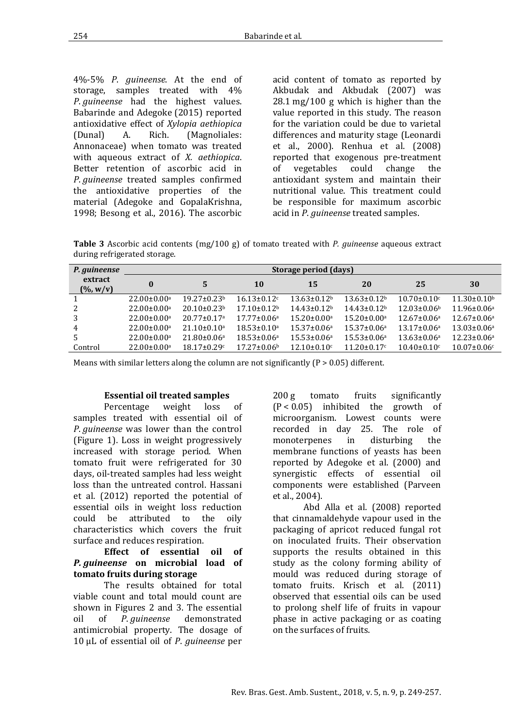supports the results obtained in this study as the colony forming ability of mould was reduced during storage of

tomato fruits. Krisch et al. (2011) observed that essential oils can be used to prolong shelf life of fruits in vapour phase in active packaging or as coating on the surfaces of fruits.

4%-5% *P*. *guineense*. At the end of storage, samples treated with 4% *P*. *guineense* had the highest values. Babarinde and Adegoke (2015) reported antioxidative effect of *Xylopia aethiopica* (Dunal) A. Rich. (Magnoliales: Annonaceae) when tomato was treated with aqueous extract of *X. aethiopica*. Better retention of ascorbic acid in *P*. *guineense* treated samples confirmed the antioxidative properties of the material (Adegoke and GopalaKrishna, 1998; Besong et al., 2016). The ascorbic acid content of tomato as reported by Akbudak and Akbudak (2007) was 28.1 mg/100 g which is higher than the value reported in this study. The reason for the variation could be due to varietal differences and maturity stage (Leonardi et al., 2000). Renhua et al. (2008) reported that exogenous pre-treatment<br>of vegetables could change the could change antioxidant system and maintain their nutritional value. This treatment could be responsible for maximum ascorbic acid in *P*. *guineense* treated samples.

200 g tomato fruits significantly (P < 0.05) inhibited the growth of microorganism. Lowest counts were recorded in day 25. The role of<br>monoterpenes in disturbing the

membrane functions of yeasts has been reported by Adegoke et al. (2000) and synergistic effects of essential oil components were established (Parveen

that cinnamaldehyde vapour used in the packaging of apricot reduced fungal rot on inoculated fruits. Their observation

Abd Alla et al. (2008) reported

**Table 3** Ascorbic acid contents (mg/100 g) of tomato treated with *P. guineense* aqueous extract during refrigerated storage.

| P. guineense                    | Storage period (days)         |                               |                          |                               |                               |                               |                    |  |
|---------------------------------|-------------------------------|-------------------------------|--------------------------|-------------------------------|-------------------------------|-------------------------------|--------------------|--|
| extract<br>$(\frac{9}{6}, w/v)$ | 0                             | 5                             | 10                       | 15                            | 20                            | 25                            | 30                 |  |
|                                 | $22.00 \pm 0.00$ <sup>a</sup> | $19.27 \pm 0.23^b$            | $16.13 \pm 0.12$         | $13.63 \pm 0.12^b$            | $13.63 \pm 0.12^b$            | $10.70 \pm 0.10$ <sup>c</sup> | $11.30 \pm 0.10^b$ |  |
|                                 | $22.00 \pm 0.00$ <sup>a</sup> | $20.10 \pm 0.23$ <sup>b</sup> | $17.10 + 0.12b$          | $14.43 \pm 0.12^b$            | $14.43 \pm 0.12^b$            | $12.03 \pm 0.06^b$            | $11.96 \pm 0.06^a$ |  |
|                                 | $22.00 \pm 0.00$ <sup>a</sup> | $20.77 \pm 0.17$ <sup>a</sup> | $17.77 \pm 0.06^a$       | $15.20 \pm 0.00$ <sup>a</sup> | $15.20 \pm 0.00$ <sup>a</sup> | $12.67 \pm 0.06^a$            | $12.67 \pm 0.06^a$ |  |
| 4                               | $22.00 \pm 0.00$ <sup>a</sup> | $21.10 \pm 0.10$ <sup>a</sup> | $18.53 \pm 0.10^a$       | $15.37 \pm 0.06^a$            | $15.37 \pm 0.06^a$            | $13.17 \pm 0.06^a$            | $13.03 \pm 0.06^a$ |  |
| 5                               | $22.00 \pm 0.00$ <sup>a</sup> | $21.80 \pm 0.06^a$            | $18.53 \pm 0.06^a$       | $15.53 \pm 0.06^a$            | $15.53 \pm 0.06^a$            | $13.63 \pm 0.06^a$            | $12.23 \pm 0.06^a$ |  |
| Control                         | $22.00 \pm 0.00$ <sup>a</sup> | $18.17 \pm 0.29$ c            | $17.27 \pm 0.06^{\circ}$ | $12.10\pm0.10$ <sup>c</sup>   | $11.20 \pm 0.17$              | $10.40 \pm 0.10$              | $10.07 \pm 0.06$ c |  |

monoterpenes

et al., 2004).

Means with similar letters along the column are not significantly  $(P > 0.05)$  different.

### **Essential oil treated samples**

Percentage weight loss of samples treated with essential oil of *P*. *guineense* was lower than the control (Figure 1). Loss in weight progressively increased with storage period. When tomato fruit were refrigerated for 30 days, oil-treated samples had less weight loss than the untreated control. Hassani et al. (2012) reported the potential of essential oils in weight loss reduction could be attributed to the oily characteristics which covers the fruit surface and reduces respiration.

#### **Effect of essential oil of**  *P. guineense* **on microbial load of tomato fruits during storage**

The results obtained for total viable count and total mould count are shown in Figures 2 and 3. The essential<br>oil of *P. quineense* demonstrated oil of *P*. *guineense* demonstrated antimicrobial property. The dosage of 10 µL of essential oil of *P*. *guineense* per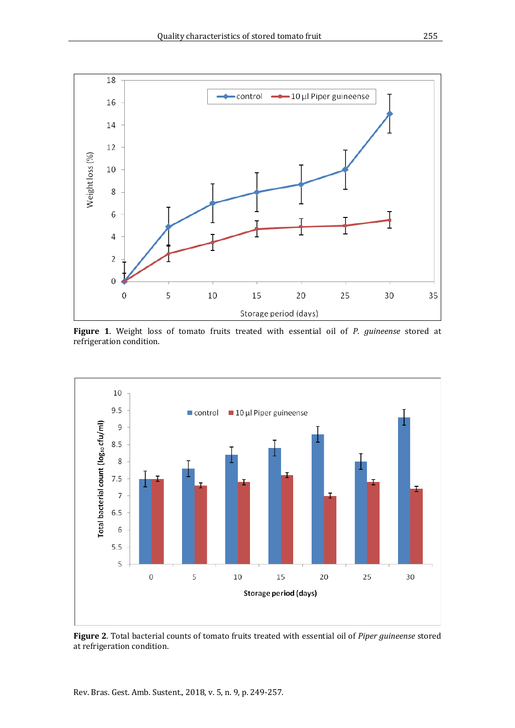

**Figure 1**. Weight loss of tomato fruits treated with essential oil of *P. guineense* stored at refrigeration condition.



**Figure 2**. Total bacterial counts of tomato fruits treated with essential oil of *Piper guineense* stored at refrigeration condition.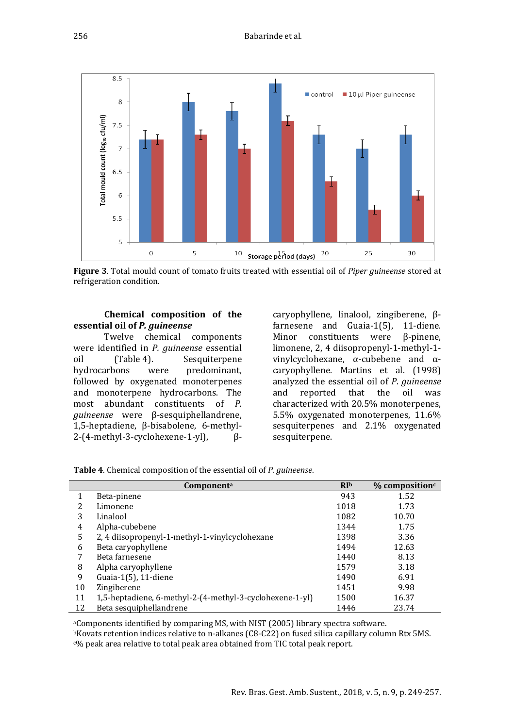

**Figure 3**. Total mould count of tomato fruits treated with essential oil of *Piper guineense* stored at refrigeration condition.

#### **Chemical composition of the essential oil of** *P. guineense*

Twelve chemical components were identified in *P. guineense* essential oil (Table 4). Sesquiterpene<br>hydrocarbons were predominant. predominant, followed by oxygenated monoterpenes and monoterpene hydrocarbons. The most abundant constituents of *P. guineense* were β-sesquiphellandrene, 1,5-heptadiene, β-bisabolene, 6-methyl-2-(4-methyl-3-cyclohexene-1-yl),

caryophyllene, linalool, zingiberene, βfarnesene and Guaia-1(5), 11-diene.<br>Minor constituents were B-pinene. constituents were limonene, 2, 4 diisopropenyl-1-methyl-1 vinylcyclohexane, α-cubebene and αcaryophyllene. Martins et al. (1998) analyzed the essential oil of *P*. *guineense* reported characterized with 20.5% monoterpenes, 5.5% oxygenated monoterpenes, 11.6% sesquiterpenes and 2.1% oxygenated sesquiterpene.

**Table 4**. Chemical composition of the essential oil of *P. guineense*.

|    | Component <sup>a</sup>                                   | $R_{Ib}$ | $%$ composition $c$ |
|----|----------------------------------------------------------|----------|---------------------|
|    | Beta-pinene                                              | 943      | 1.52                |
| 2  | Limonene                                                 | 1018     | 1.73                |
| 3  | Linalool                                                 | 1082     | 10.70               |
| 4  | Alpha-cubebene                                           | 1344     | 1.75                |
| 5  | 2, 4 diisopropenyl-1-methyl-1-vinylcyclohexane           | 1398     | 3.36                |
| 6  | Beta caryophyllene                                       | 1494     | 12.63               |
| 7  | Beta farnesene                                           | 1440     | 8.13                |
| 8  | Alpha caryophyllene                                      | 1579     | 3.18                |
| 9  | Guaia-1(5), 11-diene                                     | 1490     | 6.91                |
| 10 | Zingiberene                                              | 1451     | 9.98                |
| 11 | 1,5-heptadiene, 6-methyl-2-(4-methyl-3-cyclohexene-1-yl) | 1500     | 16.37               |
| 12 | Beta sesquiphellandrene                                  | 1446     | 23.74               |

aComponents identified by comparing MS, with NIST (2005) library spectra software. bKovats retention indices relative to n-alkanes (C8-C22) on fused silica capillary column Rtx 5MS. c% peak area relative to total peak area obtained from TIC total peak report.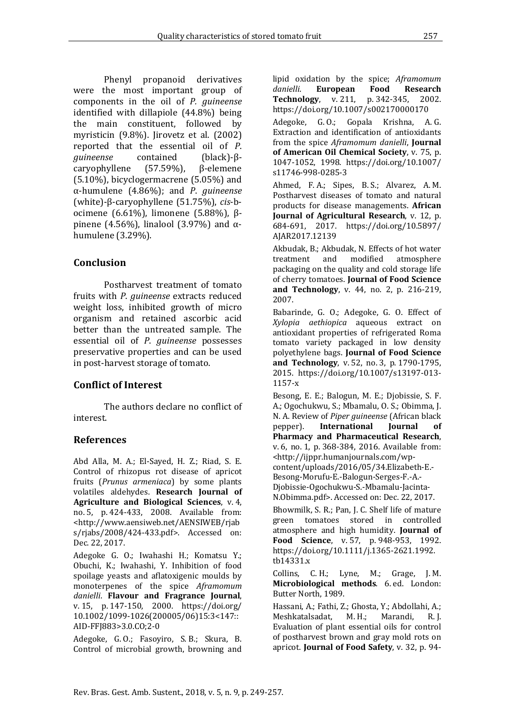Phenyl propanoid derivatives were the most important group of components in the oil of *P. guineense*  identified with dillapiole (44.8%) being the main constituent, followed by myristicin (9.8%). Jirovetz et al. (2002) reported that the essential oil of *P*. **contained** (black)-β-<br>(57.59%), β-elemene caryophyllene (5.10%), bicyclogermacrene (5.05%) and α-humulene (4.86%); and *P*. *guineense*  (white)-β-caryophyllene (51.75%), *cis*-bocimene (6.61%), limonene (5.88%), βpinene (4.56%), linalool (3.97%) and  $\alpha$ humulene (3.29%).

### **Conclusion**

Postharvest treatment of tomato fruits with *P*. *guineense* extracts reduced weight loss, inhibited growth of micro organism and retained ascorbic acid better than the untreated sample. The essential oil of *P*. *guineense* possesses preservative properties and can be used in post-harvest storage of tomato.

## **Conflict of Interest**

The authors declare no conflict of interest.

### **References**

Abd Alla, M. A.; El-Sayed, H. Z.; Riad, S. E. Control of rhizopus rot disease of apricot fruits (*Prunus armeniaca*) by some plants volatiles aldehydes. **Research Journal of Agriculture and Biological Sciences**, v. 4, no. 5, p. 424-433, 2008. Available from: [<http://www.aensiweb.net/AENSIWEB/rjab](http://www.aensiweb.net/AENSIWEB/rjabs/rjabs/2008/424-433.pdf) [s/rjabs/2008/424-433.pdf>](http://www.aensiweb.net/AENSIWEB/rjabs/rjabs/2008/424-433.pdf). Accessed on: Dec. 22, 2017.

Adegoke G. O.; Iwahashi H.; Komatsu Y.; Obuchi, K.; Iwahashi, Y. Inhibition of food spoilage yeasts and aflatoxigenic moulds by monoterpenes of the spice *Aframomum danielli*. **Flavour and Fragrance Journal**, v. 15, p. 147-150, 2000. [https://doi.org/](https://doi.org/10.1002/1099-1026(200005/06)15:3%3c147::AID-FFJ883%3e3.0.CO;2-0)  [10.1002/1099-1026\(200005/06\)15:3<147::](https://doi.org/10.1002/1099-1026(200005/06)15:3%3c147::AID-FFJ883%3e3.0.CO;2-0)  [AID-FFJ883>3.0.CO;2-0](https://doi.org/10.1002/1099-1026(200005/06)15:3%3c147::AID-FFJ883%3e3.0.CO;2-0)

Adegoke, G. O.; Fasoyiro, S. B.; Skura, B. Control of microbial growth, browning and

lipid oxidation by the spice; *Aframomum*  **European Food Research**<br>**v**. v. 211. p. 342-345. 2002. **Technology**, v. 211, p. 342-345, <https://doi.org/10.1007/s002170000170>

Adegoke, G. O.; Gopala Krishna, A. G. Extraction and identification of antioxidants from the spice *Aframomum danielli*, **Journal of American Oil Chemical Society**, v. 75, p. 1047-1052, 1998. [https://doi.org/10.1007/](https://doi.org/10.1007/s11746-998-0285-3)  [s11746-998-0285-3](https://doi.org/10.1007/s11746-998-0285-3)

Ahmed, F. A.; Sipes, B. S.; Alvarez, A. M. Postharvest diseases of tomato and natural products for disease managements. **African Journal of Agricultural Research**, v. 12, p. 684-691, 2017. [https://doi.org/10.5897/](https://doi.org/10.5897/AJAR2017.12139)  [AJAR2017.12139](https://doi.org/10.5897/AJAR2017.12139)

Akbudak, B.; Akbudak, N. Effects of hot water<br>treatment and modified atmosphere treatment and packaging on the quality and cold storage life of cherry tomatoes. **Journal of Food Science and Technology**, v. 44, no. 2, p. 216-219, 2007.

Babarinde, G. O.; Adegoke, G. O. Effect of *Xylopia aethiopica* aqueous extract on antioxidant properties of refrigerated Roma tomato variety packaged in low density polyethylene bags. **Journal of Food Science and Technology**, v. 52, no. 3, p. 1790-1795, 2015. [https://doi.org/10.1007/s13197-013-](https://doi.org/10.1007/s13197-013-1157-x) [1157-x](https://doi.org/10.1007/s13197-013-1157-x)

Besong, E. E.; Balogun, M. E.; Djobissie, S. F. A.; Ogochukwu, S.; Mbamalu, O. S.; Obimma, J. N. A. Review of *Piper guineense* (African black **International Pharmacy and Pharmaceutical Research**, v. 6, no. 1, p. 368-384, 2016. Available from: [<http://ijppr.humanjournals.com/wp](http://ijppr.humanjournals.com/wp-content/uploads/2016/05/34.Elizabeth-E.-Besong-Morufu-E.-Balogun-Serges-F.-A.-Djobissie-Ogochukwu-S.-Mbamalu-Jacinta-N.Obimma.pdf)[content/uploads/2016/05/34.Elizabeth-E.-](http://ijppr.humanjournals.com/wp-content/uploads/2016/05/34.Elizabeth-E.-Besong-Morufu-E.-Balogun-Serges-F.-A.-Djobissie-Ogochukwu-S.-Mbamalu-Jacinta-N.Obimma.pdf) [Besong-Morufu-E.-Balogun-Serges-F.-A.-](http://ijppr.humanjournals.com/wp-content/uploads/2016/05/34.Elizabeth-E.-Besong-Morufu-E.-Balogun-Serges-F.-A.-Djobissie-Ogochukwu-S.-Mbamalu-Jacinta-N.Obimma.pdf) [Djobissie-Ogochukwu-S.-Mbamalu-Jacinta-](http://ijppr.humanjournals.com/wp-content/uploads/2016/05/34.Elizabeth-E.-Besong-Morufu-E.-Balogun-Serges-F.-A.-Djobissie-Ogochukwu-S.-Mbamalu-Jacinta-N.Obimma.pdf)

[N.Obimma.pdf>](http://ijppr.humanjournals.com/wp-content/uploads/2016/05/34.Elizabeth-E.-Besong-Morufu-E.-Balogun-Serges-F.-A.-Djobissie-Ogochukwu-S.-Mbamalu-Jacinta-N.Obimma.pdf). Accessed on: Dec. 22, 2017.

Bhowmilk, S. R.; Pan, J. C. Shelf life of mature green tomatoes stored in controlled atmosphere and high humidity. **Journal of Food Science**, v. 57, p. 948-953, 1992. [https://doi.org/10.1111/j.1365-2621.1992.](https://doi.org/10.1111/j.1365-2621.1992.tb14331.x)  [tb14331.x](https://doi.org/10.1111/j.1365-2621.1992.tb14331.x)

Collins, C. H.; Lyne, M.; Grage, J. M. **Microbiological methods**. 6. ed. London: Butter North, 1989.

Hassani, A.; Fathi, Z.; Ghosta, Y.; Abdollahi, A.;<br>Meshkatalsadat, M. H.; Marandi, R. J. Meshkatalsadat, M. H.; Marandi, R. J. Evaluation of plant essential oils for control of postharvest brown and gray mold rots on apricot. **Journal of Food Safety**, v. 32, p. 94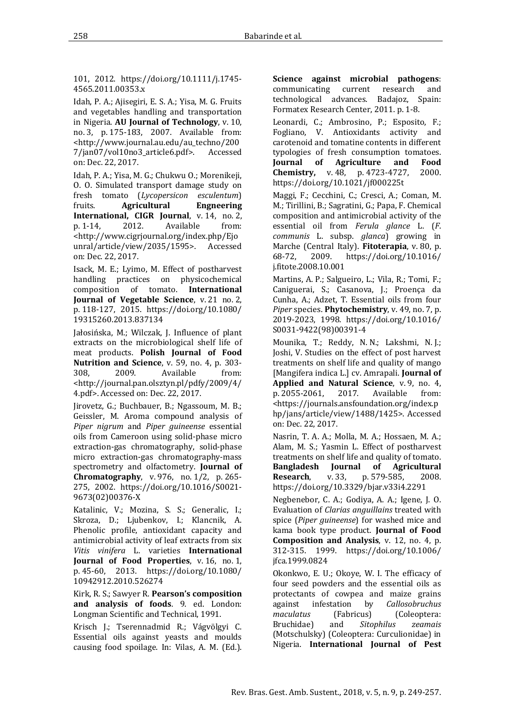101, 2012. [https://doi.org/10.1111/j.1745-](https://doi.org/10.1111/j.1745-4565.2011.00353.x) [4565.2011.00353.x](https://doi.org/10.1111/j.1745-4565.2011.00353.x)

Idah, P. A.; Ajisegiri, E. S. A.; Yisa, M. G. Fruits and vegetables handling and transportation in Nigeria. **AU Journal of Technology**, v. 10, no. 3, p. 175-183, 2007. Available from: [<http://www.journal.au.edu/au\\_techno/200](http://www.journal.au.edu/au_techno/2007/jan07/vol10no3_article6.pdf)  $7/$ jan $07/$ vol $10$ no $3$ \_article6.pdf>. on: Dec. 22, 2017.

Idah, P. A.; Yisa, M. G.; Chukwu O.; Morenikeji, O. O. Simulated transport damage study on fresh tomato (*Lycopersicon esculentum*) **Agricultural International, CIGR Journal**, v. 14, no. 2, p. 1-14, 2012. Available from: Available [<http://www.cigrjournal.org/index.php/Ejo](http://www.cigrjournal.org/index.php/Ejounral/article/view/2035/1595) [unral/article/view/2035/1595>](http://www.cigrjournal.org/index.php/Ejounral/article/view/2035/1595). Accessed on: Dec. 22, 2017.

[Isack, M. E.; Lyimo, M. Effect of postharvest](http://www.tandfonline.com/doi/abs/10.1080/19315260.2013.837134)  [handling practices on physicochemical](http://www.tandfonline.com/doi/abs/10.1080/19315260.2013.837134)  [composition of tomato.](http://www.tandfonline.com/doi/abs/10.1080/19315260.2013.837134) **[International](http://www.tandfonline.com/toc/wijv20/21/2)  [Journal of Vegetable Scie](http://www.tandfonline.com/toc/wijv20/21/2)nce**, v. 21 no. 2, p. 118-127, 2015. [https://doi.org/10.1080/](https://doi.org/10.1080/19315260.2013.837134)  [19315260.2013.837134](https://doi.org/10.1080/19315260.2013.837134)

Jałosińska, M.; Wilczak, J. Influence of plant extracts on the microbiological shelf life of meat products. **Polish Journal of Food Nutrition and Science**, v. 59, no. 4, p. 303-<br>308, 2009. Available from: 308, 2009. Available from: [<http://journal.pan.olsztyn.pl/pdfy/2009/4/](http://journal.pan.olsztyn.pl/pdfy/2009/4/4.pdf) [4.pdf>](http://journal.pan.olsztyn.pl/pdfy/2009/4/4.pdf). Accessed on: Dec. 22, 2017.

Jirovetz, G.; Buchbauer, B.; Ngassoum, M. B.; Geissler, M. Aroma compound analysis of *Piper nigrum* and *Piper guineense* essential oils from Cameroon using solid-phase micro extraction-gas chromatography, solid-phase micro extraction-gas chromatography-mass spectrometry and olfactometry. **Journal of Chromatography**, v. 976, no. 1/2, p. 265- 275, 2002. [https://doi.org/10.1016/S0021-](https://doi.org/10.1016/S0021-9673(02)00376-X) [9673\(02\)00376-X](https://doi.org/10.1016/S0021-9673(02)00376-X)

Katalinic, V.; Mozina, S. S.; Generalic, I.; Skroza, D.; Ljubenkov, I.; Klancnik, A. Phenolic profile, antioxidant capacity and antimicrobial activity of leaf extracts from six *Vitis vinifera* L. varieties **International Journal of Food Properties**, v. 16, no. 1, p. 45-60, 2013. [https://doi.org/10.1080/](https://doi.org/10.1080/10942912.2010.526274)  [10942912.2010.526274](https://doi.org/10.1080/10942912.2010.526274)

Kirk, R. S.; Sawyer R. **Pearson's composition and analysis of foods**. 9. ed. London: Longman Scientific and Technical, 1991.

Krisch J.; Tserennadmid R.; Vágvölgyi C. Essential oils against yeasts and moulds causing food spoilage. In: Vilas, A. M. (Ed.). **Science against microbial pathogens:**<br>communicating current research and communicating current research technological advances. Badajoz, Spain: Formatex Research Center, 2011. p. 1-8.

Leonardi, C.; Ambrosino, P.; Esposito, F.; Fogliano, V. Antioxidants activity and carotenoid and tomatine contents in different typologies of fresh consumption tomatoes.<br>**Journal of Agriculture and Food Agriculture Chemistry,** v. 48, p. 4723-4727, 2000. <https://doi.org/10.1021/jf000225t>

Maggi, F.; Cecchini, C.; Cresci, A.; Coman, M. M.; Tirillini, B.; Sagratini, G.; Papa, F. Chemical composition and antimicrobial activity of the essential oil from *Ferula glance* L. (*F*. *communis* L. subsp. *glanca*) growing in Marche (Central Italy). **Fitoterapia**, v. 80, p.<br>68-72, 2009. https://doi.org/10.1016/ 68-72, 2009. [https://doi.org/10.1016/](https://doi.org/10.1016/j.fitote.2008.10.001)  [j.fitote.2008.10.001](https://doi.org/10.1016/j.fitote.2008.10.001)

Martins, A. P.; Salgueiro, L.; Vila, R.; Tomi, F.; Caniguerai, S.; Casanova, J.; Proença da Cunha, A.; Adzet, T. Essential oils from four *Piper* species. **Phytochemistry**, v. 49, no. 7, p. 2019-2023, 1998. [https://doi.org/10.1016/](https://doi.org/10.1016/S0031-9422(98)00391-4)  [S0031-9422\(98\)00391-4](https://doi.org/10.1016/S0031-9422(98)00391-4)

Mounika, T.; Reddy, N. N.; Lakshmi, N. J.; Joshi, V. Studies on the effect of post harvest treatments on shelf life and quality of mango [Mangifera indica L.] cv. Amrapali. **Journal of Applied and Natural Science**, v. 9, no. 4, p. 2055-2061, 2017. Available from: p. 2055-2061, 2017. Available from: [<https://journals.ansfoundation.org/index.p](https://journals.ansfoundation.org/index.php/jans/article/view/1488/1425) [hp/jans/article/view/1488/1425>](https://journals.ansfoundation.org/index.php/jans/article/view/1488/1425). Accessed on: Dec. 22, 2017.

Nasrin, T. A. A.; Molla, M. A.; Hossaen, M. A.; Alam, M. S.; Yasmin L. Effect of postharvest treatments on shelf life and quality of tomato. **Bangladesh Journal of Agricultural Research**, v. 33, p. 579-585, 2008. <https://doi.org/10.3329/bjar.v33i4.2291>

Negbenebor, C. A.; Godiya, A. A.; Igene, J. O. Evaluation of *Clarias anguillains* treated with spice (*Piper guineense*) for washed mice and kama book type product. **Journal of Food Composition and Analysis**, v. 12, no. 4, p. 312-315. 1999. [https://doi.org/10.1006/](https://doi.org/10.1006/jfca.1999.0824)  [jfca.1999.0824](https://doi.org/10.1006/jfca.1999.0824)

Okonkwo, E. U.; Okoye, W. I. The efficacy of four seed powders and the essential oils as protectants of cowpea and maize grains<br>against infestation by *Callosobruchus* against infestation by *Callosobruchus (Fabricus) (Coleoptera: and <i>Sitophilus zeamais* Bruchidae) (Motschulsky) (Coleoptera: Curculionidae) in Nigeria. **International Journal of Pest**